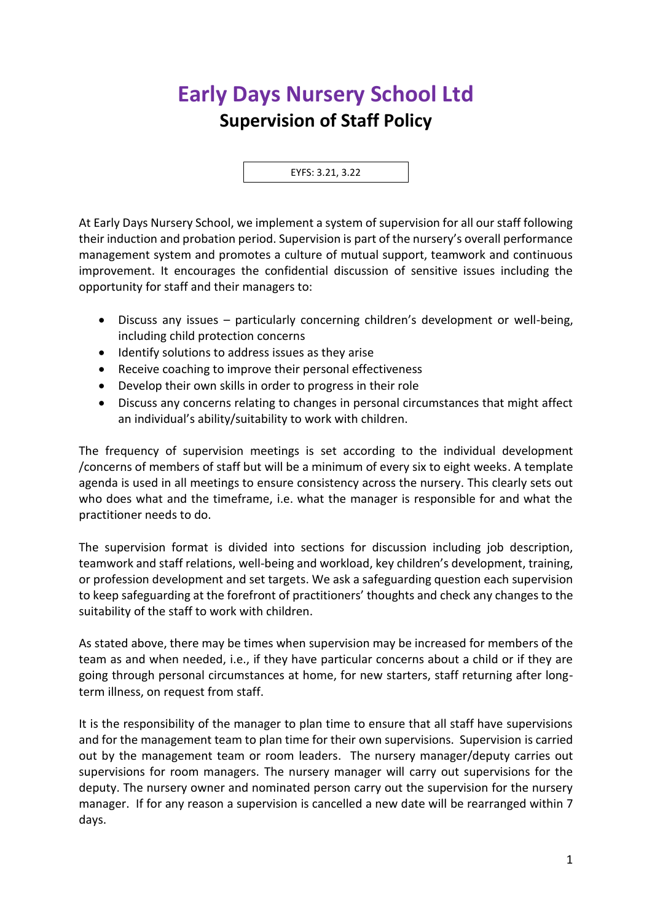## **Early Days Nursery School Ltd Supervision of Staff Policy**

EYFS: 3.21, 3.22

At Early Days Nursery School, we implement a system of supervision for all our staff following their induction and probation period. Supervision is part of the nursery's overall performance management system and promotes a culture of mutual support, teamwork and continuous improvement. It encourages the confidential discussion of sensitive issues including the opportunity for staff and their managers to:

- Discuss any issues particularly concerning children's development or well-being, including child protection concerns
- Identify solutions to address issues as they arise
- Receive coaching to improve their personal effectiveness
- Develop their own skills in order to progress in their role
- Discuss any concerns relating to changes in personal circumstances that might affect an individual's ability/suitability to work with children.

The frequency of supervision meetings is set according to the individual development /concerns of members of staff but will be a minimum of every six to eight weeks. A template agenda is used in all meetings to ensure consistency across the nursery. This clearly sets out who does what and the timeframe, i.e. what the manager is responsible for and what the practitioner needs to do.

The supervision format is divided into sections for discussion including job description, teamwork and staff relations, well-being and workload, key children's development, training, or profession development and set targets. We ask a safeguarding question each supervision to keep safeguarding at the forefront of practitioners' thoughts and check any changes to the suitability of the staff to work with children.

As stated above, there may be times when supervision may be increased for members of the team as and when needed, i.e., if they have particular concerns about a child or if they are going through personal circumstances at home, for new starters, staff returning after longterm illness, on request from staff.

It is the responsibility of the manager to plan time to ensure that all staff have supervisions and for the management team to plan time for their own supervisions. Supervision is carried out by the management team or room leaders. The nursery manager/deputy carries out supervisions for room managers. The nursery manager will carry out supervisions for the deputy. The nursery owner and nominated person carry out the supervision for the nursery manager. If for any reason a supervision is cancelled a new date will be rearranged within 7 days.